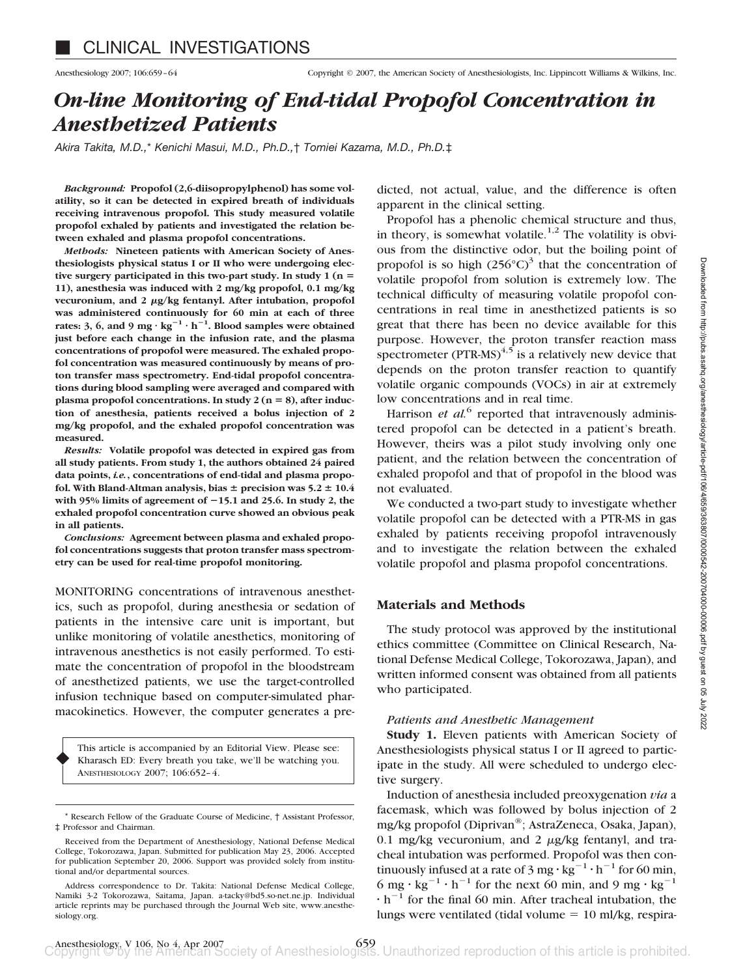# *On-line Monitoring of End-tidal Propofol Concentration in Anesthetized Patients*

*Akira Takita, M.D.,*\* *Kenichi Masui, M.D., Ph.D.,*† *Tomiei Kazama, M.D., Ph.D.*‡

*Background:* **Propofol (2,6-diisopropylphenol) has some volatility, so it can be detected in expired breath of individuals receiving intravenous propofol. This study measured volatile propofol exhaled by patients and investigated the relation between exhaled and plasma propofol concentrations.**

*Methods:* **Nineteen patients with American Society of Anesthesiologists physical status I or II who were undergoing elective surgery participated in this two-part study. In study 1 (n 11), anesthesia was induced with 2 mg/kg propofol, 0.1 mg/kg** vecuronium, and 2  $\mu$ g/kg fentanyl. After intubation, propofol **was administered continuously for 60 min at each of three** rates: 3, 6, and 9 mg  $\cdot$  kg<sup>-1</sup>  $\cdot$  h<sup>-1</sup>. Blood samples were obtained **just before each change in the infusion rate, and the plasma concentrations of propofol were measured. The exhaled propofol concentration was measured continuously by means of proton transfer mass spectrometry. End-tidal propofol concentrations during blood sampling were averaged and compared with** plasma propofol concentrations. In study  $2(n = 8)$ , after induc**tion of anesthesia, patients received a bolus injection of 2 mg/kg propofol, and the exhaled propofol concentration was measured.**

*Results:* **Volatile propofol was detected in expired gas from all study patients. From study 1, the authors obtained 24 paired data points,** *i.e.***, concentrations of end-tidal and plasma propo**fol. With Bland-Altman analysis, bias  $\pm$  precision was  $5.2 \pm 10.4$ **with 95% limits of agreement of 15.1 and 25.6. In study 2, the exhaled propofol concentration curve showed an obvious peak in all patients.**

*Conclusions:* **Agreement between plasma and exhaled propofol concentrations suggests that proton transfer mass spectrometry can be used for real-time propofol monitoring.**

MONITORING concentrations of intravenous anesthetics, such as propofol, during anesthesia or sedation of patients in the intensive care unit is important, but unlike monitoring of volatile anesthetics, monitoring of intravenous anesthetics is not easily performed. To estimate the concentration of propofol in the bloodstream of anesthetized patients, we use the target-controlled infusion technique based on computer-simulated pharmacokinetics. However, the computer generates a pre-

This article is accompanied by an Editorial View. Please see: Kharasch ED: Every breath you take, we'll be watching you. ANESTHESIOLOGY 2007; 106:652–4.

♦

Received from the Department of Anesthesiology, National Defense Medical College, Tokorozawa, Japan. Submitted for publication May 23, 2006. Accepted for publication September 20, 2006. Support was provided solely from institutional and/or departmental sources.

Address correspondence to Dr. Takita: National Defense Medical College, Namiki 3-2 Tokorozawa, Saitama, Japan. a-tacky@bd5.so-net.ne.jp. Individual article reprints may be purchased through the Journal Web site, www.anesthesiology.org.

dicted, not actual, value, and the difference is often apparent in the clinical setting.

Propofol has a phenolic chemical structure and thus, in theory, is somewhat volatile.<sup>1,2</sup> The volatility is obvious from the distinctive odor, but the boiling point of propofol is so high  $(256^{\circ}C)^{3}$  that the concentration of volatile propofol from solution is extremely low. The technical difficulty of measuring volatile propofol concentrations in real time in anesthetized patients is so great that there has been no device available for this purpose. However, the proton transfer reaction mass spectrometer (PTR-MS) $4,5$  is a relatively new device that depends on the proton transfer reaction to quantify volatile organic compounds (VOCs) in air at extremely low concentrations and in real time.

Harrison *et al.*<sup>6</sup> reported that intravenously administered propofol can be detected in a patient's breath. However, theirs was a pilot study involving only one patient, and the relation between the concentration of exhaled propofol and that of propofol in the blood was not evaluated.

We conducted a two-part study to investigate whether volatile propofol can be detected with a PTR-MS in gas exhaled by patients receiving propofol intravenously and to investigate the relation between the exhaled volatile propofol and plasma propofol concentrations.

# **Materials and Methods**

The study protocol was approved by the institutional ethics committee (Committee on Clinical Research, National Defense Medical College, Tokorozawa, Japan), and written informed consent was obtained from all patients who participated.

# *Patients and Anesthetic Management*

**Study 1.** Eleven patients with American Society of Anesthesiologists physical status I or II agreed to participate in the study. All were scheduled to undergo elective surgery.

Induction of anesthesia included preoxygenation *via* a facemask, which was followed by bolus injection of 2 mg/kg propofol (Diprivan®; AstraZeneca, Osaka, Japan), 0.1 mg/kg vecuronium, and 2  $\mu$ g/kg fentanyl, and tracheal intubation was performed. Propofol was then continuously infused at a rate of  $3 \text{ mg} \cdot \text{kg}^{-1} \cdot \text{h}^{-1}$  for 60 min, 6 mg  $\cdot$  kg<sup>-1</sup>  $\cdot$  h<sup>-1</sup> for the next 60 min, and 9 mg  $\cdot$  kg<sup>-1</sup>  $\cdot$  h<sup>-1</sup> for the final 60 min. After tracheal intubation, the lungs were ventilated (tidal volume  $= 10$  ml/kg, respira-

Research Fellow of the Graduate Course of Medicine, † Assistant Professor, ‡ Professor and Chairman.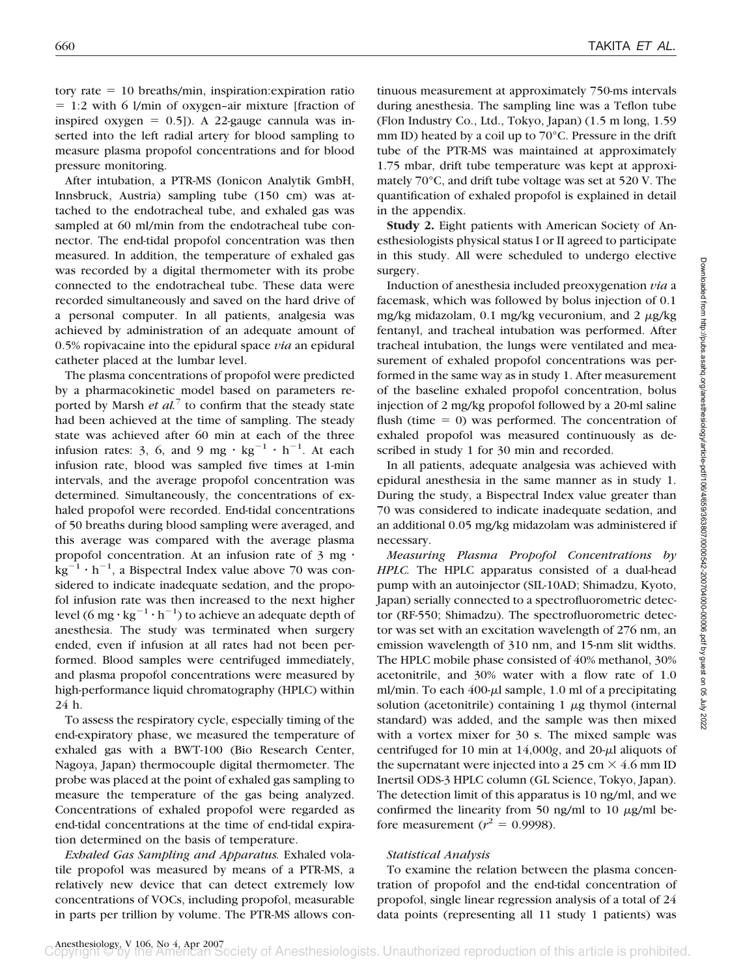tory rate - 10 breaths/min, inspiration:expiration ratio = 1:2 with 6 l/min of oxygen-air mixture [fraction of inspired oxygen  $= 0.5$ ]). A 22-gauge cannula was inserted into the left radial artery for blood sampling to measure plasma propofol concentrations and for blood pressure monitoring.

After intubation, a PTR-MS (Ionicon Analytik GmbH, Innsbruck, Austria) sampling tube (150 cm) was attached to the endotracheal tube, and exhaled gas was sampled at 60 ml/min from the endotracheal tube connector. The end-tidal propofol concentration was then measured. In addition, the temperature of exhaled gas was recorded by a digital thermometer with its probe connected to the endotracheal tube. These data were recorded simultaneously and saved on the hard drive of a personal computer. In all patients, analgesia was achieved by administration of an adequate amount of 0.5% ropivacaine into the epidural space *via* an epidural catheter placed at the lumbar level.

The plasma concentrations of propofol were predicted by a pharmacokinetic model based on parameters reported by Marsh *et al.*<sup>7</sup> to confirm that the steady state had been achieved at the time of sampling. The steady state was achieved after 60 min at each of the three infusion rates: 3, 6, and 9 mg  $\cdot$  kg<sup>-1</sup>  $\cdot$  h<sup>-1</sup>. At each infusion rate, blood was sampled five times at 1-min intervals, and the average propofol concentration was determined. Simultaneously, the concentrations of exhaled propofol were recorded. End-tidal concentrations of 50 breaths during blood sampling were averaged, and this average was compared with the average plasma propofol concentration. At an infusion rate of 3 mg ·  $\text{kg}^{-1} \cdot \text{h}^{-1}$ , a Bispectral Index value above 70 was considered to indicate inadequate sedation, and the propofol infusion rate was then increased to the next higher level (6 mg  $\cdot$  kg<sup>-1</sup>  $\cdot$  h<sup>-1</sup>) to achieve an adequate depth of anesthesia. The study was terminated when surgery ended, even if infusion at all rates had not been performed. Blood samples were centrifuged immediately, and plasma propofol concentrations were measured by high-performance liquid chromatography (HPLC) within 24 h.

To assess the respiratory cycle, especially timing of the end-expiratory phase, we measured the temperature of exhaled gas with a BWT-100 (Bio Research Center, Nagoya, Japan) thermocouple digital thermometer. The probe was placed at the point of exhaled gas sampling to measure the temperature of the gas being analyzed. Concentrations of exhaled propofol were regarded as end-tidal concentrations at the time of end-tidal expiration determined on the basis of temperature.

*Exhaled Gas Sampling and Apparatus.* Exhaled volatile propofol was measured by means of a PTR-MS, a relatively new device that can detect extremely low concentrations of VOCs, including propofol, measurable in parts per trillion by volume. The PTR-MS allows con-

tinuous measurement at approximately 750-ms intervals during anesthesia. The sampling line was a Teflon tube (Flon Industry Co., Ltd., Tokyo, Japan) (1.5 m long, 1.59 mm ID) heated by a coil up to 70°C. Pressure in the drift tube of the PTR-MS was maintained at approximately 1.75 mbar, drift tube temperature was kept at approximately 70°C, and drift tube voltage was set at 520 V. The quantification of exhaled propofol is explained in detail in the appendix.

**Study 2.** Eight patients with American Society of Anesthesiologists physical status I or II agreed to participate in this study. All were scheduled to undergo elective surgery.

Induction of anesthesia included preoxygenation *via* a facemask, which was followed by bolus injection of 0.1 mg/kg midazolam, 0.1 mg/kg vecuronium, and 2  $\mu$ g/kg fentanyl, and tracheal intubation was performed. After tracheal intubation, the lungs were ventilated and measurement of exhaled propofol concentrations was performed in the same way as in study 1. After measurement of the baseline exhaled propofol concentration, bolus injection of 2 mg/kg propofol followed by a 20-ml saline flush (time  $= 0$ ) was performed. The concentration of exhaled propofol was measured continuously as described in study 1 for 30 min and recorded.

In all patients, adequate analgesia was achieved with epidural anesthesia in the same manner as in study 1. During the study, a Bispectral Index value greater than 70 was considered to indicate inadequate sedation, and an additional 0.05 mg/kg midazolam was administered if necessary.

*Measuring Plasma Propofol Concentrations by HPLC.* The HPLC apparatus consisted of a dual-head pump with an autoinjector (SIL-10AD; Shimadzu, Kyoto, Japan) serially connected to a spectrofluorometric detector (RF-550; Shimadzu). The spectrofluorometric detector was set with an excitation wavelength of 276 nm, an emission wavelength of 310 nm, and 15-nm slit widths. The HPLC mobile phase consisted of 40% methanol, 30% acetonitrile, and 30% water with a flow rate of 1.0 ml/min. To each  $400-\mu$  sample, 1.0 ml of a precipitating solution (acetonitrile) containing  $1 \mu$ g thymol (internal standard) was added, and the sample was then mixed with a vortex mixer for 30 s. The mixed sample was centrifuged for 10 min at  $14,000g$ , and  $20-\mu$ l aliquots of the supernatant were injected into a 25 cm  $\times$  4.6 mm ID Inertsil ODS-3 HPLC column (GL Science, Tokyo, Japan). The detection limit of this apparatus is 10 ng/ml, and we confirmed the linearity from 50 ng/ml to 10  $\mu$ g/ml before measurement ( $r^2 = 0.9998$ ).

# *Statistical Analysis*

To examine the relation between the plasma concentration of propofol and the end-tidal concentration of propofol, single linear regression analysis of a total of 24 data points (representing all 11 study 1 patients) was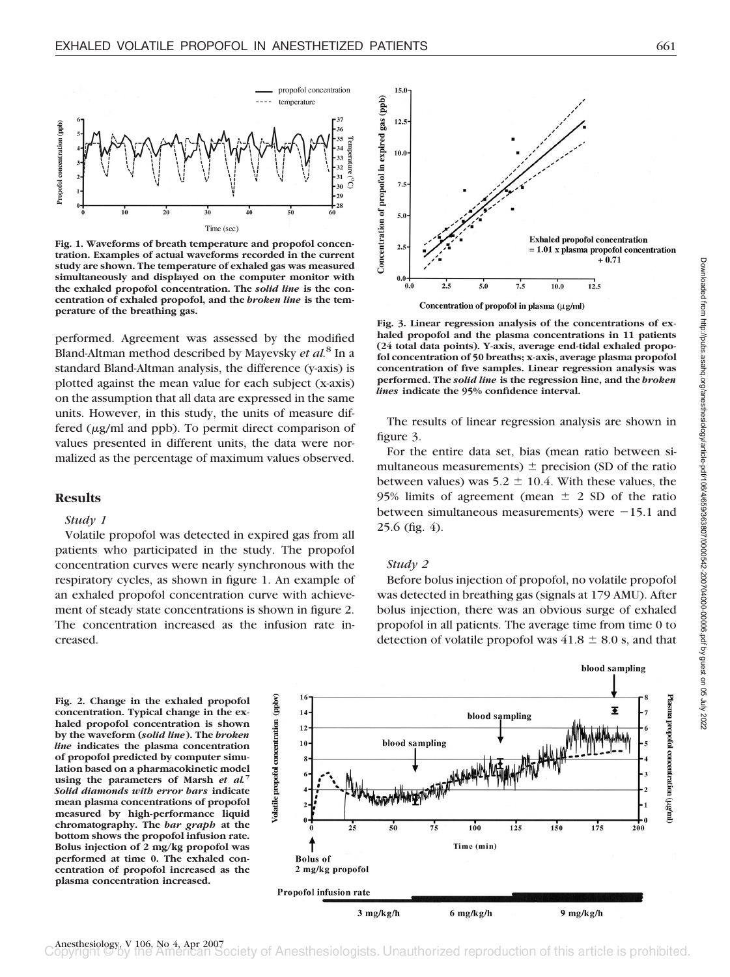

**Fig. 1. Waveforms of breath temperature and propofol concentration. Examples of actual waveforms recorded in the current study are shown. The temperature of exhaled gas was measured simultaneously and displayed on the computer monitor with the exhaled propofol concentration. The** *solid line* **is the concentration of exhaled propofol, and the** *broken line* **is the temperature of the breathing gas.**

performed. Agreement was assessed by the modified Bland-Altman method described by Mayevsky *et al.*<sup>8</sup> In a standard Bland-Altman analysis, the difference (y-axis) is plotted against the mean value for each subject (x-axis) on the assumption that all data are expressed in the same units. However, in this study, the units of measure differed  $(\mu g/ml$  and ppb). To permit direct comparison of values presented in different units, the data were normalized as the percentage of maximum values observed.

## **Results**

#### *Study 1*

Volatile propofol was detected in expired gas from all patients who participated in the study. The propofol concentration curves were nearly synchronous with the respiratory cycles, as shown in figure 1. An example of an exhaled propofol concentration curve with achievement of steady state concentrations is shown in figure 2. The concentration increased as the infusion rate increased.





Concentration of propofol in plasma (µg/ml)

**Fig. 3. Linear regression analysis of the concentrations of exhaled propofol and the plasma concentrations in 11 patients (24 total data points). Y-axis, average end-tidal exhaled propofol concentration of 50 breaths; x-axis, average plasma propofol concentration of five samples. Linear regression analysis was performed. The** *solid line* **is the regression line, and the** *broken lines* **indicate the 95% confidence interval.**

The results of linear regression analysis are shown in figure 3.

For the entire data set, bias (mean ratio between simultaneous measurements)  $\pm$  precision (SD of the ratio between values) was  $5.2 \pm 10.4$ . With these values, the 95% limits of agreement (mean  $\pm$  2 SD of the ratio between simultaneous measurements) were  $-15.1$  and 25.6 (fig. 4).

#### *Study 2*

Before bolus injection of propofol, no volatile propofol was detected in breathing gas (signals at 179 AMU). After bolus injection, there was an obvious surge of exhaled propofol in all patients. The average time from time 0 to detection of volatile propofol was  $41.8 \pm 8.0$  s, and that



Anesthesiology, V 106, No 4, Apr 2007<br>Copyright © by the American Society of Anesthesiologists. Unauthorized reproduction of this article is prohibited.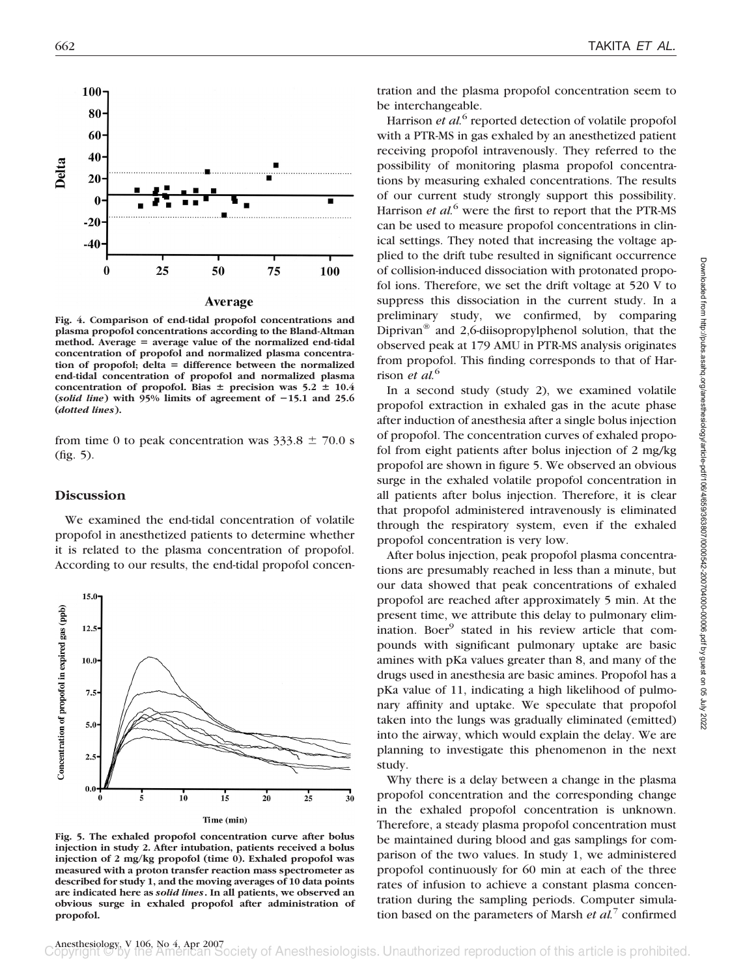

**Fig. 4. Comparison of end-tidal propofol concentrations and plasma propofol concentrations according to the Bland-Altman method. Average average value of the normalized end-tidal concentration of propofol and normalized plasma concentra**tion of propofol; delta = difference between the normalized **end-tidal concentration of propofol and normalized plasma** concentration of propofol. Bias  $\pm$  precision was  $5.2 \pm 10.4$ (*solid line*) with  $95\%$  limits of agreement of  $-15.1$  and  $25.6$ **(***dotted lines***).**

from time 0 to peak concentration was  $333.8 \pm 70.0$  s (fig. 5).

# **Discussion**

We examined the end-tidal concentration of volatile propofol in anesthetized patients to determine whether it is related to the plasma concentration of propofol. According to our results, the end-tidal propofol concen-



**Fig. 5. The exhaled propofol concentration curve after bolus injection in study 2. After intubation, patients received a bolus injection of 2 mg/kg propofol (time 0). Exhaled propofol was measured with a proton transfer reaction mass spectrometer as described for study 1, and the moving averages of 10 data points are indicated here as** *solid lines***. In all patients, we observed an obvious surge in exhaled propofol after administration of propofol.**

tration and the plasma propofol concentration seem to be interchangeable.

Harrison *et al.*<sup>6</sup> reported detection of volatile propofol with a PTR-MS in gas exhaled by an anesthetized patient receiving propofol intravenously. They referred to the possibility of monitoring plasma propofol concentrations by measuring exhaled concentrations. The results of our current study strongly support this possibility. Harrison *et al.*<sup>6</sup> were the first to report that the PTR-MS can be used to measure propofol concentrations in clinical settings. They noted that increasing the voltage applied to the drift tube resulted in significant occurrence of collision-induced dissociation with protonated propofol ions. Therefore, we set the drift voltage at 520 V to suppress this dissociation in the current study. In a preliminary study, we confirmed, by comparing Diprivan<sup>®</sup> and 2,6-diisopropylphenol solution, that the observed peak at 179 AMU in PTR-MS analysis originates from propofol. This finding corresponds to that of Harrison *et al.*<sup>6</sup>

In a second study (study 2), we examined volatile propofol extraction in exhaled gas in the acute phase after induction of anesthesia after a single bolus injection of propofol. The concentration curves of exhaled propofol from eight patients after bolus injection of 2 mg/kg propofol are shown in figure 5. We observed an obvious surge in the exhaled volatile propofol concentration in all patients after bolus injection. Therefore, it is clear that propofol administered intravenously is eliminated through the respiratory system, even if the exhaled propofol concentration is very low.

After bolus injection, peak propofol plasma concentrations are presumably reached in less than a minute, but our data showed that peak concentrations of exhaled propofol are reached after approximately 5 min. At the present time, we attribute this delay to pulmonary elimination. Boer<sup>9</sup> stated in his review article that compounds with significant pulmonary uptake are basic amines with pKa values greater than 8, and many of the drugs used in anesthesia are basic amines. Propofol has a pKa value of 11, indicating a high likelihood of pulmonary affinity and uptake. We speculate that propofol taken into the lungs was gradually eliminated (emitted) into the airway, which would explain the delay. We are planning to investigate this phenomenon in the next study.

Why there is a delay between a change in the plasma propofol concentration and the corresponding change in the exhaled propofol concentration is unknown. Therefore, a steady plasma propofol concentration must be maintained during blood and gas samplings for comparison of the two values. In study 1, we administered propofol continuously for 60 min at each of the three rates of infusion to achieve a constant plasma concentration during the sampling periods. Computer simulation based on the parameters of Marsh *et al.*<sup>7</sup> confirmed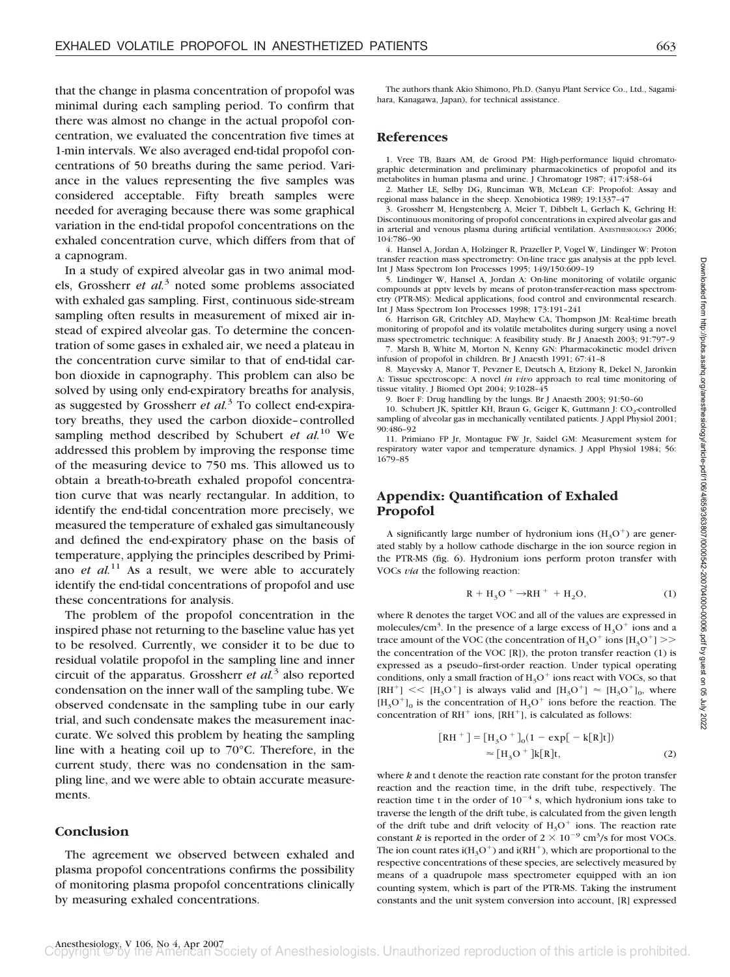that the change in plasma concentration of propofol was minimal during each sampling period. To confirm that there was almost no change in the actual propofol concentration, we evaluated the concentration five times at 1-min intervals. We also averaged end-tidal propofol concentrations of 50 breaths during the same period. Variance in the values representing the five samples was considered acceptable. Fifty breath samples were needed for averaging because there was some graphical variation in the end-tidal propofol concentrations on the exhaled concentration curve, which differs from that of a capnogram.

In a study of expired alveolar gas in two animal models, Grossherr *et al.*<sup>3</sup> noted some problems associated with exhaled gas sampling. First, continuous side-stream sampling often results in measurement of mixed air instead of expired alveolar gas. To determine the concentration of some gases in exhaled air, we need a plateau in the concentration curve similar to that of end-tidal carbon dioxide in capnography. This problem can also be solved by using only end-expiratory breaths for analysis, as suggested by Grossherr *et al.*<sup>3</sup> To collect end-expiratory breaths, they used the carbon dioxide–controlled sampling method described by Schubert *et al.*<sup>10</sup> We addressed this problem by improving the response time of the measuring device to 750 ms. This allowed us to obtain a breath-to-breath exhaled propofol concentration curve that was nearly rectangular. In addition, to identify the end-tidal concentration more precisely, we measured the temperature of exhaled gas simultaneously and defined the end-expiratory phase on the basis of temperature, applying the principles described by Primiano *et al.*<sup>11</sup> As a result, we were able to accurately identify the end-tidal concentrations of propofol and use these concentrations for analysis.

The problem of the propofol concentration in the inspired phase not returning to the baseline value has yet to be resolved. Currently, we consider it to be due to residual volatile propofol in the sampling line and inner circuit of the apparatus. Grossherr *et al.*<sup>3</sup> also reported condensation on the inner wall of the sampling tube. We observed condensate in the sampling tube in our early trial, and such condensate makes the measurement inaccurate. We solved this problem by heating the sampling line with a heating coil up to 70°C. Therefore, in the current study, there was no condensation in the sampling line, and we were able to obtain accurate measurements.

### **Conclusion**

The agreement we observed between exhaled and plasma propofol concentrations confirms the possibility of monitoring plasma propofol concentrations clinically by measuring exhaled concentrations.

The authors thank Akio Shimono, Ph.D. (Sanyu Plant Service Co., Ltd., Sagamihara, Kanagawa, Japan), for technical assistance.

## **References**

1. Vree TB, Baars AM, de Grood PM: High-performance liquid chromatographic determination and preliminary pharmacokinetics of propofol and its metabolites in human plasma and urine. J Chromatogr 1987; 417:458–64

2. Mather LE, Selby DG, Runciman WB, McLean CF: Propofol: Assay and regional mass balance in the sheep. Xenobiotica 1989; 19:1337–47

3. Grossherr M, Hengstenberg A, Meier T, Dibbelt L, Gerlach K, Gehring H: Discontinuous monitoring of propofol concentrations in expired alveolar gas and in arterial and venous plasma during artificial ventilation. ANESTHESIOLOGY 2006; 104:786–90

4. Hansel A, Jordan A, Holzinger R, Prazeller P, Vogel W, Lindinger W: Proton transfer reaction mass spectrometry: On-line trace gas analysis at the ppb level. Int J Mass Spectrom Ion Processes 1995; 149/150:609–19

5. Lindinger W, Hansel A, Jordan A: On-line monitoring of volatile organic compounds at pptv levels by means of proton-transfer-reaction mass spectrometry (PTR-MS): Medical applications, food control and environmental research. Int J Mass Spectrom Ion Processes 1998; 173:191–241

6. Harrison GR, Critchley AD, Mayhew CA, Thompson JM: Real-time breath monitoring of propofol and its volatile metabolites during surgery using a novel mass spectrometric technique: A feasibility study. Br J Anaesth 2003; 91:797–9

7. Marsh B, White M, Morton N, Kenny GN: Pharmacokinetic model driven infusion of propofol in children. Br J Anaesth 1991; 67:41–8

8. Mayevsky A, Manor T, Pevzner E, Deutsch A, Etziony R, Dekel N, Jaronkin A: Tissue spectroscope: A novel *in vivo* approach to real time monitoring of tissue vitality. J Biomed Opt 2004; 9:1028–45

9. Boer F: Drug handling by the lungs. Br J Anaesth 2003; 91:50–60

10. Schubert JK, Spittler KH, Braun G, Geiger K, Guttmann J: CO<sub>2</sub>-controlled sampling of alveolar gas in mechanically ventilated patients. J Appl Physiol 2001; 90:486–92

11. Primiano FP Jr, Montague FW Jr, Saidel GM: Measurement system for respiratory water vapor and temperature dynamics. J Appl Physiol 1984; 56: 1679–85

# **Appendix: Quantification of Exhaled Propofol**

A significantly large number of hydronium ions  $(H_3O^+)$  are generated stably by a hollow cathode discharge in the ion source region in the PTR-MS (fig. 6). Hydronium ions perform proton transfer with VOCs *via* the following reaction:

$$
R + H_3O^+ \rightarrow RH^+ + H_2O,
$$
 (1)

where R denotes the target VOC and all of the values are expressed in molecules/cm<sup>3</sup>. In the presence of a large excess of  $H_3O^+$  ions and a trace amount of the VOC (the concentration of  $H_3O^+$  ions  $[H_3O^+]$ ) the concentration of the VOC [R]), the proton transfer reaction (1) is expressed as a pseudo–first-order reaction. Under typical operating conditions, only a small fraction of  $H_3O^+$  ions react with VOCs, so that  $[RH^+] \leq \{H_3O^+\}$  is always valid and  $[H_3O^+] \approx [H_3O^+]_0$ , where  $[H_3O^+]_0$  is the concentration of  $H_3O^+$  ions before the reaction. The concentration of  $RH^+$  ions,  $[RH^+]$ , is calculated as follows:

$$
[RH^{+}] = [H_3O^{+}]_0(1 - exp[-k[R]t])
$$
  
\n
$$
\approx [H_3O^{+}]k[R]t,
$$
 (2)

where *k* and t denote the reaction rate constant for the proton transfer reaction and the reaction time, in the drift tube, respectively. The reaction time t in the order of  $10^{-4}$  s, which hydronium ions take to traverse the length of the drift tube, is calculated from the given length of the drift tube and drift velocity of  $H_3O^+$  ions. The reaction rate constant *k* is reported in the order of  $2 \times 10^{-9}$  cm<sup>3</sup>/s for most VOCs. The ion count rates i( $H_3O^+$ ) and i(RH<sup>+</sup>), which are proportional to the respective concentrations of these species, are selectively measured by means of a quadrupole mass spectrometer equipped with an ion counting system, which is part of the PTR-MS. Taking the instrument constants and the unit system conversion into account, [R] expressed